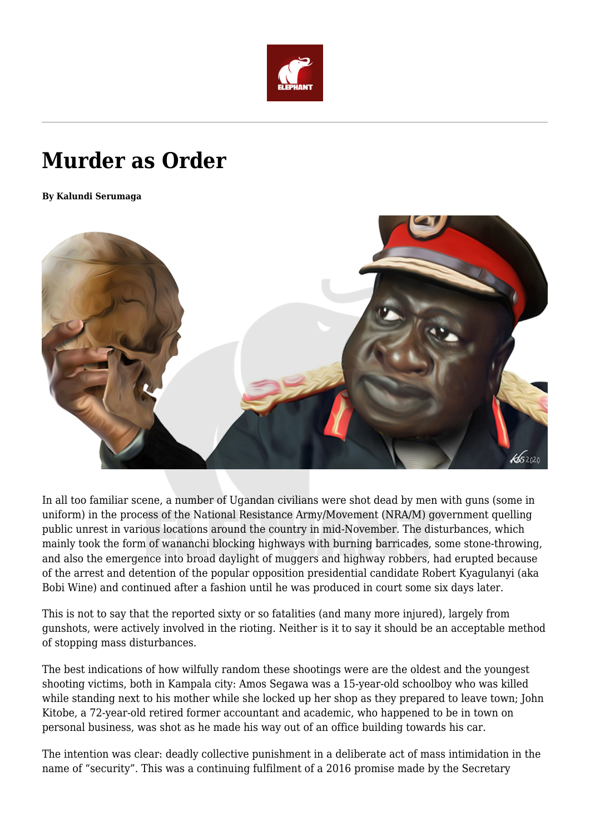

## **Murder as Order**

**By Kalundi Serumaga**



In all too familiar scene, a number of Ugandan civilians were shot dead by men with guns (some in uniform) in the process of the National Resistance Army/Movement (NRA/M) government quelling public unrest in various locations around the country in mid-November. The disturbances, which mainly took the form of wananchi blocking highways with burning barricades, some stone-throwing, and also the emergence into broad daylight of muggers and highway robbers, had erupted because of the arrest and detention of the popular opposition presidential candidate Robert Kyagulanyi (aka Bobi Wine) and continued after a fashion until he was produced in court some six days later.

This is not to say that the reported sixty or so fatalities (and many more injured), largely from gunshots, were actively involved in the rioting. Neither is it to say it should be an acceptable method of stopping mass disturbances.

The best indications of how wilfully random these shootings were are the oldest and the youngest shooting victims, both in Kampala city: Amos Segawa was a 15-year-old schoolboy who was killed while standing next to his mother while she locked up her shop as they prepared to leave town; John Kitobe, a 72-year-old retired former accountant and academic, who happened to be in town on personal business, was shot as he made his way out of an office building towards his car.

The intention was clear: deadly collective punishment in a deliberate act of mass intimidation in the name of "security". This was a continuing fulfilment of a 2016 promise made by the Secretary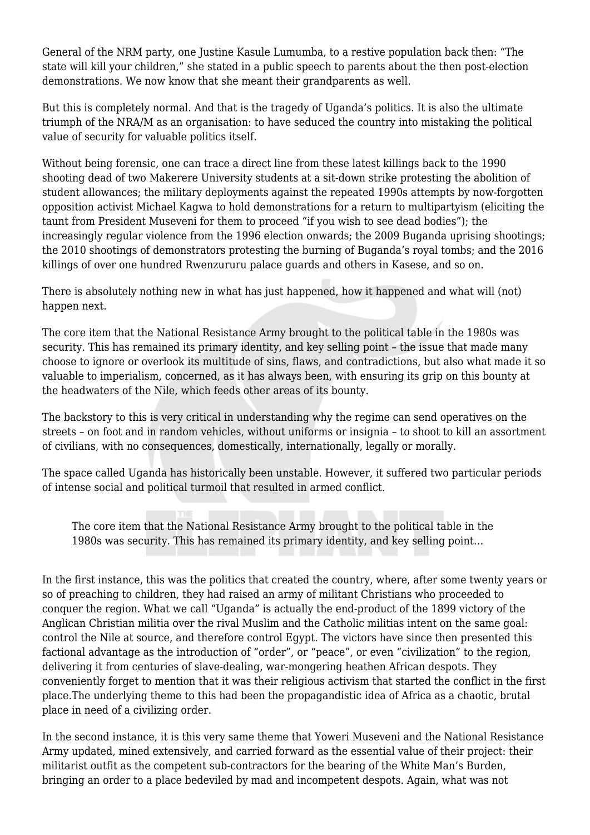General of the NRM party, one Justine Kasule Lumumba, to a restive population back then: "The state will kill your children," she stated in a public speech to parents about the then post-election demonstrations. We now know that she meant their grandparents as well.

But this is completely normal. And that is the tragedy of Uganda's politics. It is also the ultimate triumph of the NRA/M as an organisation: to have seduced the country into mistaking the political value of security for valuable politics itself.

Without being forensic, one can trace a direct line from these latest killings back to the 1990 shooting dead of two Makerere University students at a sit-down strike protesting the abolition of student allowances; the military deployments against the repeated 1990s attempts by now-forgotten opposition activist Michael Kagwa to hold demonstrations for a return to multipartyism (eliciting the taunt from President Museveni for them to proceed "if you wish to see dead bodies"); the increasingly regular violence from the 1996 election onwards; the 2009 Buganda uprising shootings; the 2010 shootings of demonstrators protesting the burning of Buganda's royal tombs; and the 2016 killings of over one hundred Rwenzururu palace guards and others in Kasese, and so on.

There is absolutely nothing new in what has just happened, how it happened and what will (not) happen next.

The core item that the National Resistance Army brought to the political table in the 1980s was security. This has remained its primary identity, and key selling point – the issue that made many choose to ignore or overlook its multitude of sins, flaws, and contradictions, but also what made it so valuable to imperialism, concerned, as it has always been, with ensuring its grip on this bounty at the headwaters of the Nile, which feeds other areas of its bounty.

The backstory to this is very critical in understanding why the regime can send operatives on the streets – on foot and in random vehicles, without uniforms or insignia – to shoot to kill an assortment of civilians, with no consequences, domestically, internationally, legally or morally.

The space called Uganda has historically been unstable. However, it suffered two particular periods of intense social and political turmoil that resulted in armed conflict.

The core item that the National Resistance Army brought to the political table in the 1980s was security. This has remained its primary identity, and key selling point…

In the first instance, this was the politics that created the country, where, after some twenty years or so of preaching to children, they had raised an army of militant Christians who proceeded to conquer the region. What we call "Uganda" is actually the end-product of the 1899 victory of the Anglican Christian militia over the rival Muslim and the Catholic militias intent on the same goal: control the Nile at source, and therefore control Egypt. The victors have since then presented this factional advantage as the introduction of "order", or "peace", or even "civilization" to the region, delivering it from centuries of slave-dealing, war-mongering heathen African despots. They conveniently forget to mention that it was their religious activism that started the conflict in the first place.The underlying theme to this had been the propagandistic idea of Africa as a chaotic, brutal place in need of a civilizing order.

In the second instance, it is this very same theme that Yoweri Museveni and the National Resistance Army updated, mined extensively, and carried forward as the essential value of their project: their militarist outfit as the competent sub-contractors for the bearing of the White Man's Burden, bringing an order to a place bedeviled by mad and incompetent despots. Again, what was not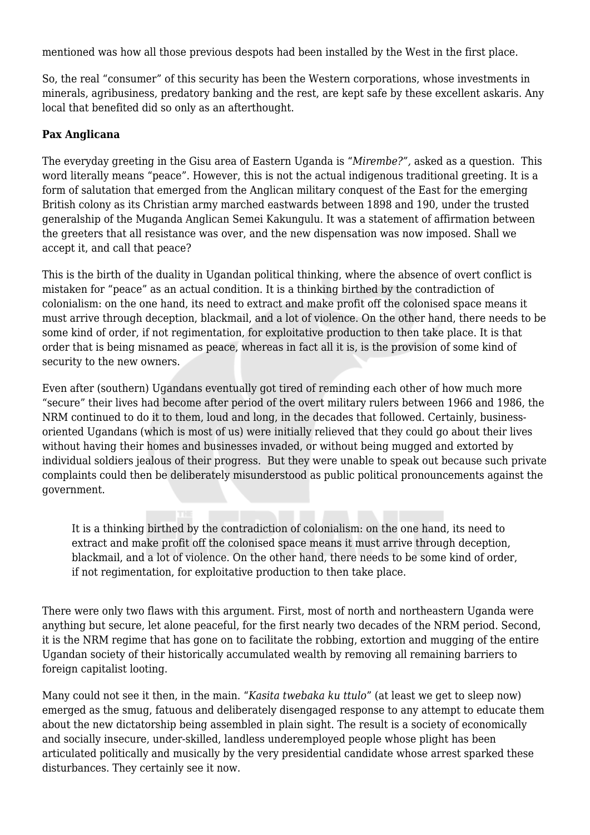mentioned was how all those previous despots had been installed by the West in the first place.

So, the real "consumer" of this security has been the Western corporations, whose investments in minerals, agribusiness, predatory banking and the rest, are kept safe by these excellent askaris. Any local that benefited did so only as an afterthought.

## **Pax Anglicana**

The everyday greeting in the Gisu area of Eastern Uganda is "*Mirembe?",* asked as a question. This word literally means "peace". However, this is not the actual indigenous traditional greeting. It is a form of salutation that emerged from the Anglican military conquest of the East for the emerging British colony as its Christian army marched eastwards between 1898 and 190, under the trusted generalship of the Muganda Anglican Semei Kakungulu. It was a statement of affirmation between the greeters that all resistance was over, and the new dispensation was now imposed. Shall we accept it, and call that peace?

This is the birth of the duality in Ugandan political thinking, where the absence of overt conflict is mistaken for "peace" as an actual condition. It is a thinking birthed by the contradiction of colonialism: on the one hand, its need to extract and make profit off the colonised space means it must arrive through deception, blackmail, and a lot of violence. On the other hand, there needs to be some kind of order, if not regimentation, for exploitative production to then take place. It is that order that is being misnamed as peace, whereas in fact all it is, is the provision of some kind of security to the new owners.

Even after (southern) Ugandans eventually got tired of reminding each other of how much more "secure" their lives had become after period of the overt military rulers between 1966 and 1986, the NRM continued to do it to them, loud and long, in the decades that followed. Certainly, businessoriented Ugandans (which is most of us) were initially relieved that they could go about their lives without having their homes and businesses invaded, or without being mugged and extorted by individual soldiers jealous of their progress. But they were unable to speak out because such private complaints could then be deliberately misunderstood as public political pronouncements against the government.

It is a thinking birthed by the contradiction of colonialism: on the one hand, its need to extract and make profit off the colonised space means it must arrive through deception, blackmail, and a lot of violence. On the other hand, there needs to be some kind of order, if not regimentation, for exploitative production to then take place.

There were only two flaws with this argument. First, most of north and northeastern Uganda were anything but secure, let alone peaceful, for the first nearly two decades of the NRM period. Second, it is the NRM regime that has gone on to facilitate the robbing, extortion and mugging of the entire Ugandan society of their historically accumulated wealth by removing all remaining barriers to foreign capitalist looting.

Many could not see it then, in the main. "*Kasita twebaka ku ttulo*" (at least we get to sleep now) emerged as the smug, fatuous and deliberately disengaged response to any attempt to educate them about the new dictatorship being assembled in plain sight. The result is a society of economically and socially insecure, under-skilled, landless underemployed people whose plight has been articulated politically and musically by the very presidential candidate whose arrest sparked these disturbances. They certainly see it now.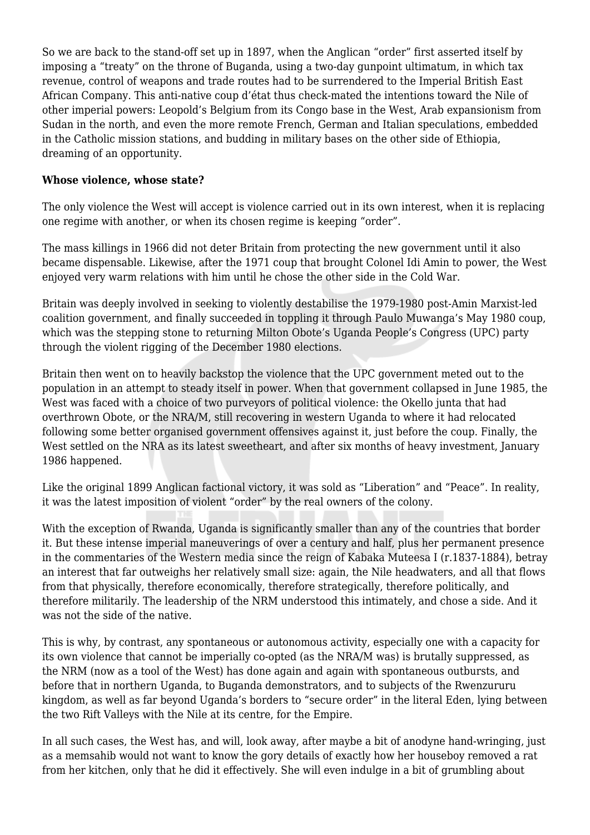So we are back to the stand-off set up in 1897, when the Anglican "order" first asserted itself by imposing a "treaty" on the throne of Buganda, using a two-day gunpoint ultimatum, in which tax revenue, control of weapons and trade routes had to be surrendered to the Imperial British East African Company. This anti-native coup d'état thus check-mated the intentions toward the Nile of other imperial powers: Leopold's Belgium from its Congo base in the West, Arab expansionism from Sudan in the north, and even the more remote French, German and Italian speculations, embedded in the Catholic mission stations, and budding in military bases on the other side of Ethiopia, dreaming of an opportunity.

## **Whose violence, whose state?**

The only violence the West will accept is violence carried out in its own interest, when it is replacing one regime with another, or when its chosen regime is keeping "order".

The mass killings in 1966 did not deter Britain from protecting the new government until it also became dispensable. Likewise, after the 1971 coup that brought Colonel Idi Amin to power, the West enjoyed very warm relations with him until he chose the other side in the Cold War.

Britain was deeply involved in seeking to violently destabilise the 1979-1980 post-Amin Marxist-led coalition government, and finally succeeded in toppling it through Paulo Muwanga's May 1980 coup, which was the stepping stone to returning Milton Obote's Uganda People's Congress (UPC) party through the violent rigging of the December 1980 elections.

Britain then went on to heavily backstop the violence that the UPC government meted out to the population in an attempt to steady itself in power. When that government collapsed in June 1985, the West was faced with a choice of two purveyors of political violence: the Okello junta that had overthrown Obote, or the NRA/M, still recovering in western Uganda to where it had relocated following some better organised government offensives against it, just before the coup. Finally, the West settled on the NRA as its latest sweetheart, and after six months of heavy investment, January 1986 happened.

Like the original 1899 Anglican factional victory, it was sold as "Liberation" and "Peace". In reality, it was the latest imposition of violent "order" by the real owners of the colony.

With the exception of Rwanda, Uganda is significantly smaller than any of the countries that border it. But these intense imperial maneuverings of over a century and half, plus her permanent presence in the commentaries of the Western media since the reign of Kabaka Muteesa I (r.1837-1884), betray an interest that far outweighs her relatively small size: again, the Nile headwaters, and all that flows from that physically, therefore economically, therefore strategically, therefore politically, and therefore militarily. The leadership of the NRM understood this intimately, and chose a side. And it was not the side of the native.

This is why, by contrast, any spontaneous or autonomous activity, especially one with a capacity for its own violence that cannot be imperially co-opted (as the NRA/M was) is brutally suppressed, as the NRM (now as a tool of the West) has done again and again with spontaneous outbursts, and before that in northern Uganda, to Buganda demonstrators, and to subjects of the Rwenzururu kingdom, as well as far beyond Uganda's borders to "secure order" in the literal Eden, lying between the two Rift Valleys with the Nile at its centre, for the Empire.

In all such cases, the West has, and will, look away, after maybe a bit of anodyne hand-wringing, just as a memsahib would not want to know the gory details of exactly how her houseboy removed a rat from her kitchen, only that he did it effectively. She will even indulge in a bit of grumbling about